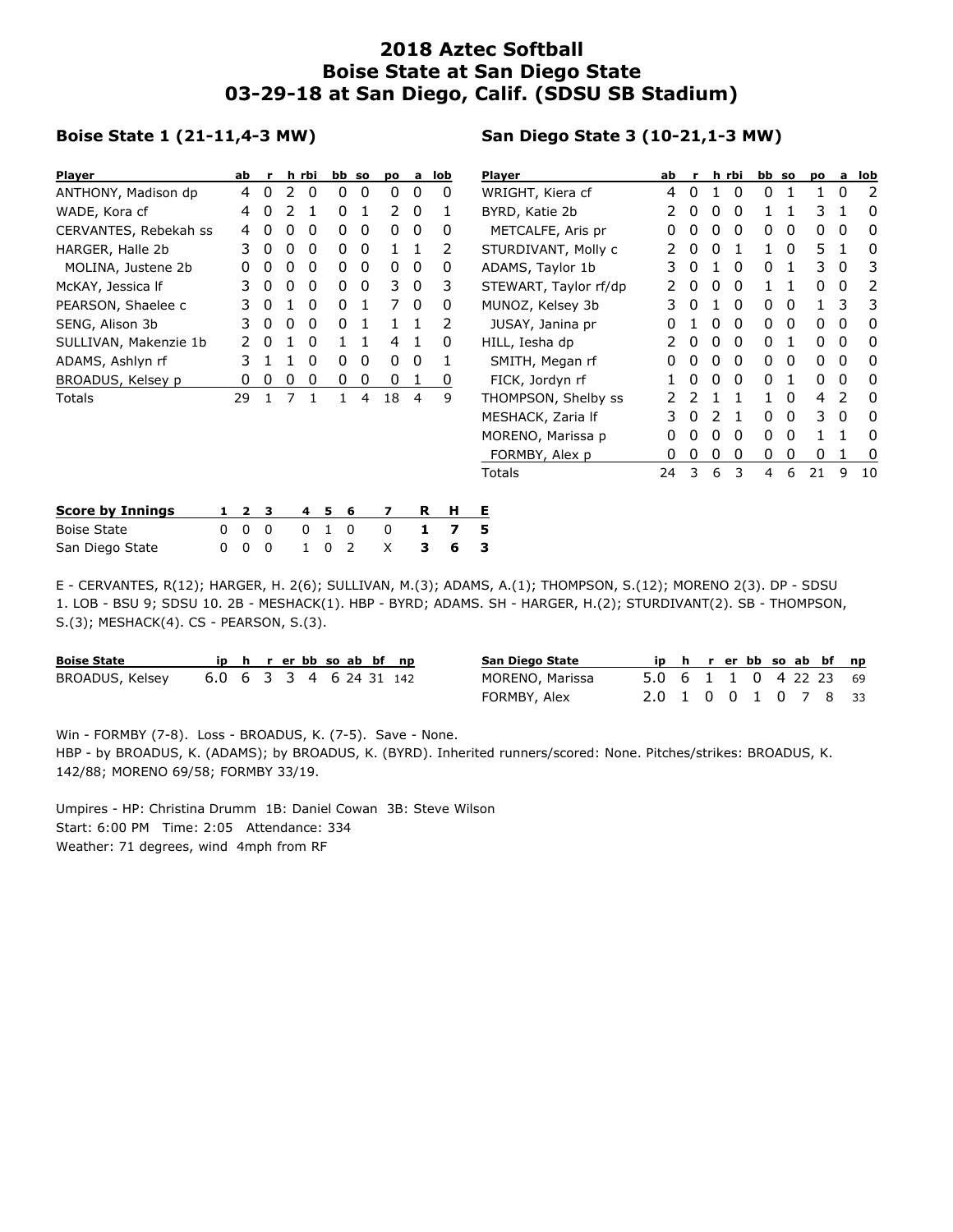## **2018 Aztec Softball Boise State at San Diego State 03-29-18 at San Diego, Calif. (SDSU SB Stadium)**

## **Boise State 1 (21-11,4-3 MW)**

## **San Diego State 3 (10-21,1-3 MW)**

| <b>Player</b>           | h rbi<br>bb so<br>Player<br>ab<br>lob<br>po<br>a |              |          | ab |              | h rbi |   | bb so        |              | po | a                     | lob |          |          |              |              |    |    |   |              |
|-------------------------|--------------------------------------------------|--------------|----------|----|--------------|-------|---|--------------|--------------|----|-----------------------|-----|----------|----------|--------------|--------------|----|----|---|--------------|
| ANTHONY, Madison dp     |                                                  | 4            | 0        |    | 0            | 0     | 0 | 0            | 0            | 0  | WRIGHT, Kiera cf      | 4   | 0        |          | 0            | 0            |    |    | 0 | 2            |
| WADE, Kora cf           |                                                  | 4            | 0        |    |              | 0     |   | 2            | 0            |    | BYRD, Katie 2b        | 2   | 0        | 0        | 0            |              |    | 3  |   | 0            |
| CERVANTES, Rebekah ss   |                                                  | 4            | 0        | 0  | 0            | 0     | 0 | 0            | 0            | 0  | METCALFE, Aris pr     | 0   | 0        | 0        | 0            | 0            | 0  | 0  | 0 | 0            |
| HARGER, Halle 2b        |                                                  | 3.           | 0        | 0  | 0            | 0     | 0 | 1            | -1           | 2  | STURDIVANT, Molly c   | 2   | 0        | $\Omega$ | 1            |              | 0  | 5. |   | 0            |
| MOLINA, Justene 2b      |                                                  | 0            | 0        | 0  | 0            | 0     | 0 | 0            | 0            | 0  | ADAMS, Taylor 1b      | 3   | $\Omega$ |          | 0            | 0            |    | 3  | 0 | 3            |
| McKAY, Jessica If       |                                                  | 3            | 0        | 0  | 0            | 0     | 0 | 3.           | 0            | 3  | STEWART, Taylor rf/dp |     |          | 0        | 0            |              |    | 0  | 0 | 2            |
| PEARSON, Shaelee c      |                                                  | 3            | 0        |    | $\mathbf{0}$ | 0     |   | 7            | $\Omega$     | 0  | MUNOZ, Kelsey 3b      | 3.  | 0        |          | 0            | $\mathbf{0}$ | 0  |    | 3 | 3            |
| SENG, Alison 3b         |                                                  | 3.           | 0        | 0  | $\mathbf{0}$ | 0     |   |              |              | 2  | JUSAY, Janina pr      | 0   |          | $\Omega$ | $\mathbf{0}$ | 0            | 0  | 0  | 0 | $\mathbf{0}$ |
| SULLIVAN, Makenzie 1b   |                                                  | 2            | 0        |    | $\mathbf{0}$ |       |   | 4            | $\mathbf{1}$ | 0  | HILL, Iesha dp        | 2   | 0        | 0        | $\mathbf{0}$ | 0            | -1 | 0  | 0 | 0            |
| ADAMS, Ashlyn rf        |                                                  | 3            |          |    | 0            | 0     | 0 | 0            | 0            |    | SMITH, Megan rf       | 0   | $\Omega$ | 0        | 0            | 0            | 0  | 0  | 0 | 0            |
| BROADUS, Kelsey p       |                                                  | 0            | 0        | 0  | 0            | 0     | 0 | 0            | 1            | 0  | FICK, Jordyn rf       |     |          | 0        | 0            | 0            |    | 0  | 0 | 0            |
| Totals                  |                                                  | 29           | 1        | 7  | 1            |       | 4 | 18           | 4            | 9  | THOMPSON, Shelby ss   |     |          |          |              |              | 0  | 4  | 2 | 0            |
|                         |                                                  |              |          |    |              |       |   |              |              |    | MESHACK, Zaria If     | 3   | 0        |          | 1            | 0            | 0  | 3. | 0 | 0            |
|                         |                                                  |              |          |    |              |       |   |              |              |    | MORENO, Marissa p     | 0   | 0        | 0        | 0            | 0            | 0  |    |   | 0            |
|                         |                                                  |              |          |    |              |       |   |              |              |    | FORMBY, Alex p        | 0   | 0        | 0        | 0            | 0            | 0  | 0  |   | -0           |
|                         |                                                  |              |          |    |              |       |   |              |              |    | Totals                | 24  | 3        | 6        | 3            | 4            | 6  | 21 | 9 | 10           |
| <b>Score by Innings</b> | 1.                                               | $\mathbf{2}$ | з        |    | 4            | 5     | 6 | 7            | R            | н  | Е                     |     |          |          |              |              |    |    |   |              |
| <b>Boise State</b>      | 0                                                | $\mathbf{0}$ | $\Omega$ |    | $\Omega$     |       | 0 | $\mathbf{0}$ | 1            | 7  | 5                     |     |          |          |              |              |    |    |   |              |
| San Diego State         | 0                                                | 0            | 0        |    |              | 0     | 2 | X            | з            | 6  | з                     |     |          |          |              |              |    |    |   |              |

E - CERVANTES, R(12); HARGER, H. 2(6); SULLIVAN, M.(3); ADAMS, A.(1); THOMPSON, S.(12); MORENO 2(3). DP - SDSU 1. LOB - BSU 9; SDSU 10. 2B - MESHACK(1). HBP - BYRD; ADAMS. SH - HARGER, H.(2); STURDIVANT(2). SB - THOMPSON, S.(3); MESHACK(4). CS - PEARSON, S.(3).

| <b>Boise State</b> |                         |  |  |  | ip h r er bb so ab bf np | San Diego State |                        |  |  |  | ip h r er bb so ab bf np |  |
|--------------------|-------------------------|--|--|--|--------------------------|-----------------|------------------------|--|--|--|--------------------------|--|
| BROADUS, Kelsey    | 6.0 6 3 3 4 6 24 31 142 |  |  |  |                          | MORENO, Marissa | 5.0 6 1 1 0 4 22 23 69 |  |  |  |                          |  |
|                    |                         |  |  |  |                          | FORMBY, Alex    | 2.0 1 0 0 1 0 7 8 33   |  |  |  |                          |  |

Win - FORMBY (7-8). Loss - BROADUS, K. (7-5). Save - None. HBP - by BROADUS, K. (ADAMS); by BROADUS, K. (BYRD). Inherited runners/scored: None. Pitches/strikes: BROADUS, K. 142/88; MORENO 69/58; FORMBY 33/19.

Umpires - HP: Christina Drumm 1B: Daniel Cowan 3B: Steve Wilson Start: 6:00 PM Time: 2:05 Attendance: 334 Weather: 71 degrees, wind 4mph from RF